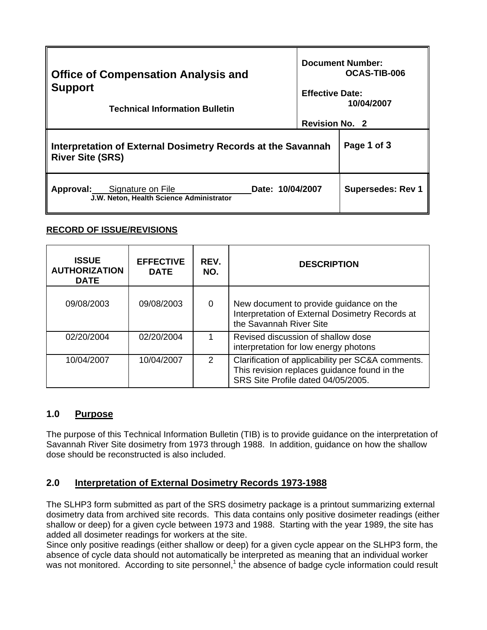| <b>Office of Compensation Analysis and</b><br><b>Support</b><br><b>Technical Information Bulletin</b> |             | <b>Document Number:</b><br>OCAS-TIB-006<br><b>Effective Date:</b><br>10/04/2007<br><b>Revision No. 2</b> |  |
|-------------------------------------------------------------------------------------------------------|-------------|----------------------------------------------------------------------------------------------------------|--|
| Interpretation of External Dosimetry Records at the Savannah<br><b>River Site (SRS)</b>               | Page 1 of 3 |                                                                                                          |  |
| Date: 10/04/2007<br><b>Approval:</b> Signature on File<br>J.W. Neton, Health Science Administrator    |             | <b>Supersedes: Rev 1</b>                                                                                 |  |

### **RECORD OF ISSUE/REVISIONS**

| <b>ISSUE</b><br><b>AUTHORIZATION</b><br><b>DATE</b> | <b>EFFECTIVE</b><br><b>DATE</b> | REV.<br>NO.   | <b>DESCRIPTION</b>                                                                                                                      |
|-----------------------------------------------------|---------------------------------|---------------|-----------------------------------------------------------------------------------------------------------------------------------------|
| 09/08/2003                                          | 09/08/2003                      | 0             | New document to provide guidance on the<br>Interpretation of External Dosimetry Records at<br>the Savannah River Site                   |
| 02/20/2004                                          | 02/20/2004                      |               | Revised discussion of shallow dose<br>interpretation for low energy photons                                                             |
| 10/04/2007                                          | 10/04/2007                      | $\mathcal{P}$ | Clarification of applicability per SC&A comments.<br>This revision replaces guidance found in the<br>SRS Site Profile dated 04/05/2005. |

### **1.0 Purpose**

The purpose of this Technical Information Bulletin (TIB) is to provide guidance on the interpretation of Savannah River Site dosimetry from 1973 through 1988. In addition, guidance on how the shallow dose should be reconstructed is also included.

## **2.0 Interpretation of External Dosimetry Records 1973-1988**

The SLHP3 form submitted as part of the SRS dosimetry package is a printout summarizing external dosimetry data from archived site records. This data contains only positive dosimeter readings (either shallow or deep) for a given cycle between 1973 and 1988. Starting with the year 1989, the site has added all dosimeter readings for workers at the site.

Since only positive readings (either shallow or deep) for a given cycle appear on the SLHP3 form, the absence of cycle data should not automatically be interpreted as meaning that an individual worker was not monitored. According to site personnel,<sup>1</sup> the absence of badge cycle information could result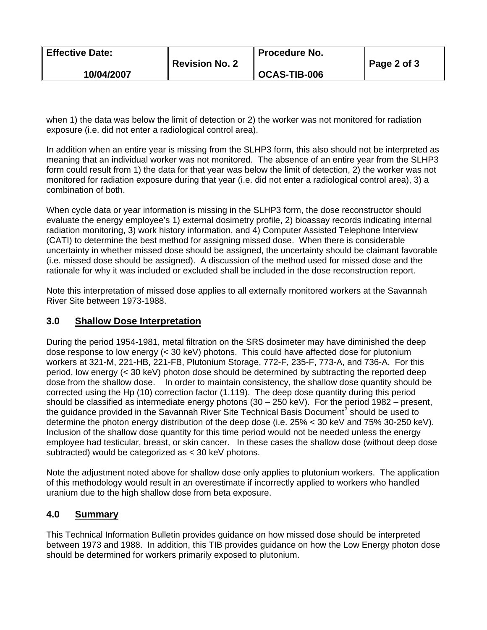| <b>Effective Date:</b> |                       | <b>Procedure No.</b> |             |
|------------------------|-----------------------|----------------------|-------------|
|                        | <b>Revision No. 2</b> |                      | Page 2 of 3 |
| 10/04/2007             |                       | <b>OCAS-TIB-006</b>  |             |

when 1) the data was below the limit of detection or 2) the worker was not monitored for radiation exposure (i.e. did not enter a radiological control area).

In addition when an entire year is missing from the SLHP3 form, this also should not be interpreted as meaning that an individual worker was not monitored. The absence of an entire year from the SLHP3 form could result from 1) the data for that year was below the limit of detection, 2) the worker was not monitored for radiation exposure during that year (i.e. did not enter a radiological control area), 3) a combination of both.

When cycle data or year information is missing in the SLHP3 form, the dose reconstructor should evaluate the energy employee's 1) external dosimetry profile, 2) bioassay records indicating internal radiation monitoring, 3) work history information, and 4) Computer Assisted Telephone Interview (CATI) to determine the best method for assigning missed dose. When there is considerable uncertainty in whether missed dose should be assigned, the uncertainty should be claimant favorable (i.e. missed dose should be assigned). A discussion of the method used for missed dose and the rationale for why it was included or excluded shall be included in the dose reconstruction report.

Note this interpretation of missed dose applies to all externally monitored workers at the Savannah River Site between 1973-1988.

### **3.0 Shallow Dose Interpretation**

During the period 1954-1981, metal filtration on the SRS dosimeter may have diminished the deep dose response to low energy (< 30 keV) photons. This could have affected dose for plutonium workers at 321-M, 221-HB, 221-FB, Plutonium Storage, 772-F, 235-F, 773-A, and 736-A. For this period, low energy (< 30 keV) photon dose should be determined by subtracting the reported deep dose from the shallow dose. In order to maintain consistency, the shallow dose quantity should be corrected using the Hp (10) correction factor (1.119). The deep dose quantity during this period should be classified as intermediate energy photons (30 – 250 keV). For the period 1982 – present, the guidance provided in the Savannah River Site Technical Basis Document<sup>2</sup> should be used to determine the photon energy distribution of the deep dose (i.e. 25% < 30 keV and 75% 30-250 keV). Inclusion of the shallow dose quantity for this time period would not be needed unless the energy employee had testicular, breast, or skin cancer. In these cases the shallow dose (without deep dose subtracted) would be categorized as < 30 keV photons.

Note the adjustment noted above for shallow dose only applies to plutonium workers. The application of this methodology would result in an overestimate if incorrectly applied to workers who handled uranium due to the high shallow dose from beta exposure.

### **4.0 Summary**

This Technical Information Bulletin provides guidance on how missed dose should be interpreted between 1973 and 1988. In addition, this TIB provides guidance on how the Low Energy photon dose should be determined for workers primarily exposed to plutonium.